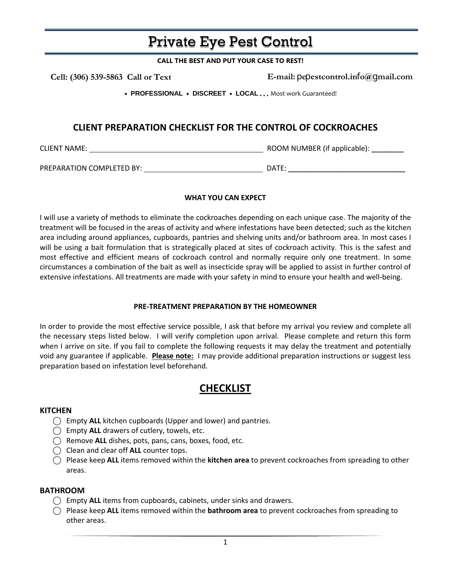# Private Eye Pest Control

**CALL THE BEST AND PUT YOUR CASE TO REST!**

 **Cell: (306) 539-5863 Call or Text** 

**E-mail:** p**e**p**estcontrol.in**f**o@**g**mail.com**

• **PROFESSIONAL** • **DISCREET** • **LOCAL** . . . Most work Guaranteed!

### **CLIENT PREPARATION CHECKLIST FOR THE CONTROL OF COCKROACHES**

CLIENT NAME: ROOM NUMBER (if applicable): \_\_\_\_\_\_\_\_

PREPARATION COMPLETED BY: DATE:

#### **WHAT YOU CAN EXPECT**

I will use a variety of methods to eliminate the cockroaches depending on each unique case. The majority of the treatment will be focused in the areas of activity and where infestations have been detected; such as the kitchen area including around appliances, cupboards, pantries and shelving units and/or bathroom area. In most cases I will be using a bait formulation that is strategically placed at sites of cockroach activity. This is the safest and most effective and efficient means of cockroach control and normally require only one treatment. In some circumstances a combination of the bait as well as insecticide spray will be applied to assist in further control of extensive infestations. All treatments are made with your safety in mind to ensure your health and well-being.

#### **PRE-TREATMENT PREPARATION BY THE HOMEOWNER**

In order to provide the most effective service possible, I ask that before my arrival you review and complete all the necessary steps listed below. I will verify completion upon arrival. Please complete and return this form when I arrive on site. If you fail to complete the following requests it may delay the treatment and potentially void any guarantee if applicable. **Please note:** I may provide additional preparation instructions or suggest less preparation based on infestation level beforehand.

## **CHECKLIST**

#### **KITCHEN**

- ⃝ Empty **ALL** kitchen cupboards (Upper and lower) and pantries.
- ⃝ Empty **ALL** drawers of cutlery, towels, etc.
- ⃝ Remove **ALL** dishes, pots, pans, cans, boxes, food, etc.
- ⃝ Clean and clear off **ALL** counter tops.
- ⃝ Please keep **ALL** items removed within the **kitchen area** to prevent cockroaches from spreading to other areas.

#### **BATHROOM**

- ⃝ Empty **ALL** items from cupboards, cabinets, under sinks and drawers.
- ⃝ Please keep **ALL** items removed within the **bathroom area** to prevent cockroaches from spreading to other areas.